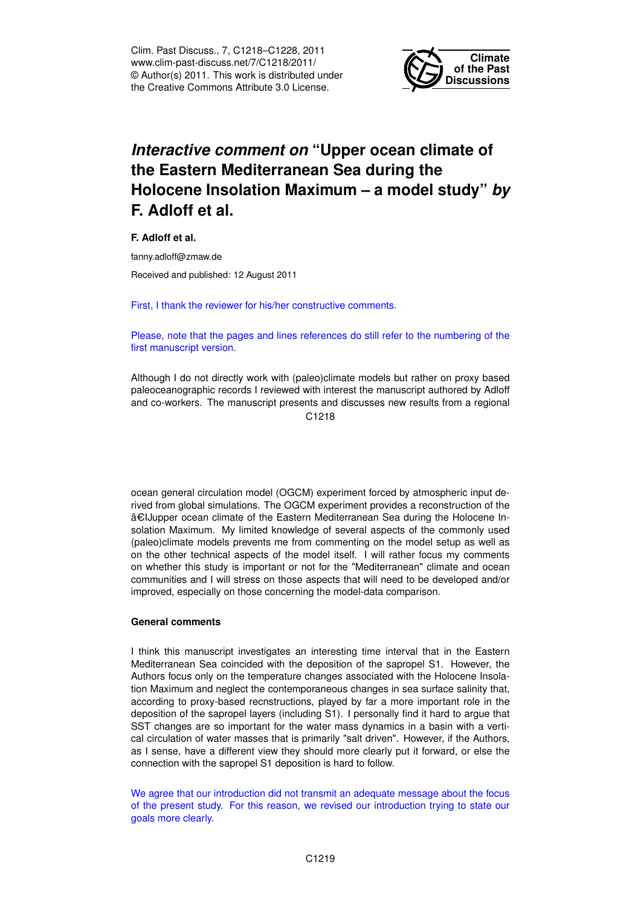Clim. Past Discuss., 7, C1218–C1228, 2011 www.clim-past-discuss.net/7/C1218/2011/ © Author(s) 2011. This work is distributed under the Creative Commons Attribute 3.0 License.



## *Interactive comment on* **"Upper ocean climate of the Eastern Mediterranean Sea during the Holocene Insolation Maximum – a model study"** *by* **F. Adloff et al.**

**F. Adloff et al.**

fanny.adloff@zmaw.de

Received and published: 12 August 2011

First, I thank the reviewer for his/her constructive comments.

Please, note that the pages and lines references do still refer to the numbering of the first manuscript version.

Although I do not directly work with (paleo)climate models but rather on proxy based paleoceanographic records I reviewed with interest the manuscript authored by Adloff and co-workers. The manuscript presents and discusses new results from a regional C<sub>1218</sub>

ocean general circulation model (OGCM) experiment forced by atmospheric input derived from global simulations. The OGCM experiment provides a reconstruction of the â€IJupper ocean climate of the Eastern Mediterranean Sea during the Holocene Insolation Maximum. My limited knowledge of several aspects of the commonly used (paleo)climate models prevents me from commenting on the model setup as well as on the other technical aspects of the model itself. I will rather focus my comments on whether this study is important or not for the "Mediterranean" climate and ocean communities and I will stress on those aspects that will need to be developed and/or improved, especially on those concerning the model-data comparison.

## **General comments**

I think this manuscript investigates an interesting time interval that in the Eastern Mediterranean Sea coincided with the deposition of the sapropel S1. However, the Authors focus only on the temperature changes associated with the Holocene Insolation Maximum and neglect the contemporaneous changes in sea surface salinity that, according to proxy-based recnstructions, played by far a more important role in the deposition of the sapropel layers (including S1). I personally find it hard to argue that SST changes are so important for the water mass dynamics in a basin with a vertical circulation of water masses that is primarily "salt driven". However, if the Authors, as I sense, have a different view they should more clearly put it forward, or else the connection with the sapropel S1 deposition is hard to follow.

We agree that our introduction did not transmit an adequate message about the focus of the present study. For this reason, we revised our introduction trying to state our goals more clearly.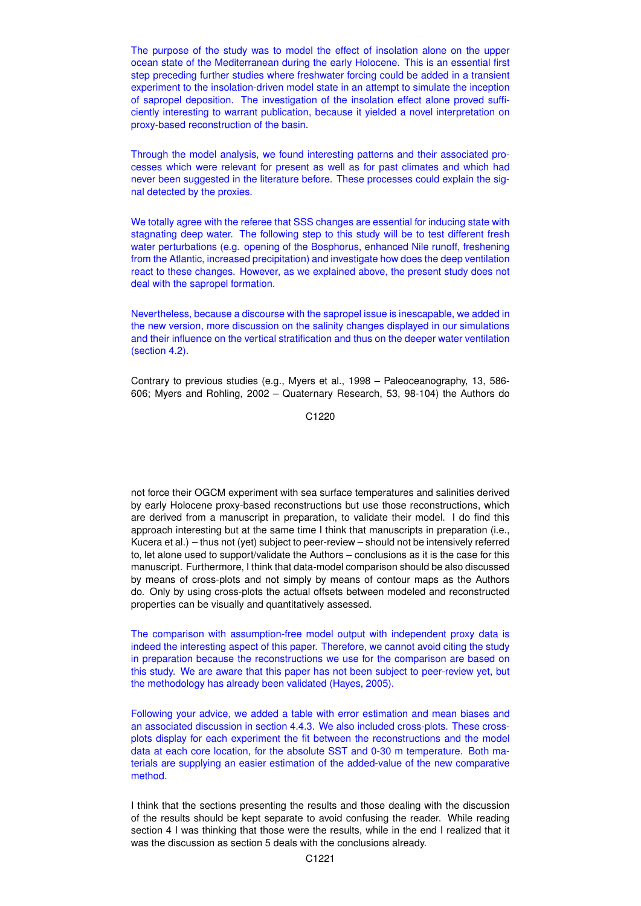The purpose of the study was to model the effect of insolation alone on the upper ocean state of the Mediterranean during the early Holocene. This is an essential first step preceding further studies where freshwater forcing could be added in a transient experiment to the insolation-driven model state in an attempt to simulate the inception of sapropel deposition. The investigation of the insolation effect alone proved sufficiently interesting to warrant publication, because it yielded a novel interpretation on proxy-based reconstruction of the basin.

Through the model analysis, we found interesting patterns and their associated processes which were relevant for present as well as for past climates and which had never been suggested in the literature before. These processes could explain the signal detected by the proxies.

We totally agree with the referee that SSS changes are essential for inducing state with stagnating deep water. The following step to this study will be to test different fresh water perturbations (e.g. opening of the Bosphorus, enhanced Nile runoff, freshening from the Atlantic, increased precipitation) and investigate how does the deep ventilation react to these changes. However, as we explained above, the present study does not deal with the sapropel formation.

Nevertheless, because a discourse with the sapropel issue is inescapable, we added in the new version, more discussion on the salinity changes displayed in our simulations and their influence on the vertical stratification and thus on the deeper water ventilation (section 4.2).

Contrary to previous studies (e.g., Myers et al., 1998 – Paleoceanography, 13, 586- 606; Myers and Rohling, 2002 – Quaternary Research, 53, 98-104) the Authors do

C1220

not force their OGCM experiment with sea surface temperatures and salinities derived by early Holocene proxy-based reconstructions but use those reconstructions, which are derived from a manuscript in preparation, to validate their model. I do find this approach interesting but at the same time I think that manuscripts in preparation (i.e., Kucera et al.) – thus not (yet) subject to peer-review – should not be intensively referred to, let alone used to support/validate the Authors – conclusions as it is the case for this manuscript. Furthermore, I think that data-model comparison should be also discussed by means of cross-plots and not simply by means of contour maps as the Authors do. Only by using cross-plots the actual offsets between modeled and reconstructed properties can be visually and quantitatively assessed.

The comparison with assumption-free model output with independent proxy data is indeed the interesting aspect of this paper. Therefore, we cannot avoid citing the study in preparation because the reconstructions we use for the comparison are based on this study. We are aware that this paper has not been subject to peer-review yet, but the methodology has already been validated (Hayes, 2005).

Following your advice, we added a table with error estimation and mean biases and an associated discussion in section 4.4.3. We also included cross-plots. These crossplots display for each experiment the fit between the reconstructions and the model data at each core location, for the absolute SST and 0-30 m temperature. Both materials are supplying an easier estimation of the added-value of the new comparative method.

I think that the sections presenting the results and those dealing with the discussion of the results should be kept separate to avoid confusing the reader. While reading section 4 I was thinking that those were the results, while in the end I realized that it was the discussion as section 5 deals with the conclusions already.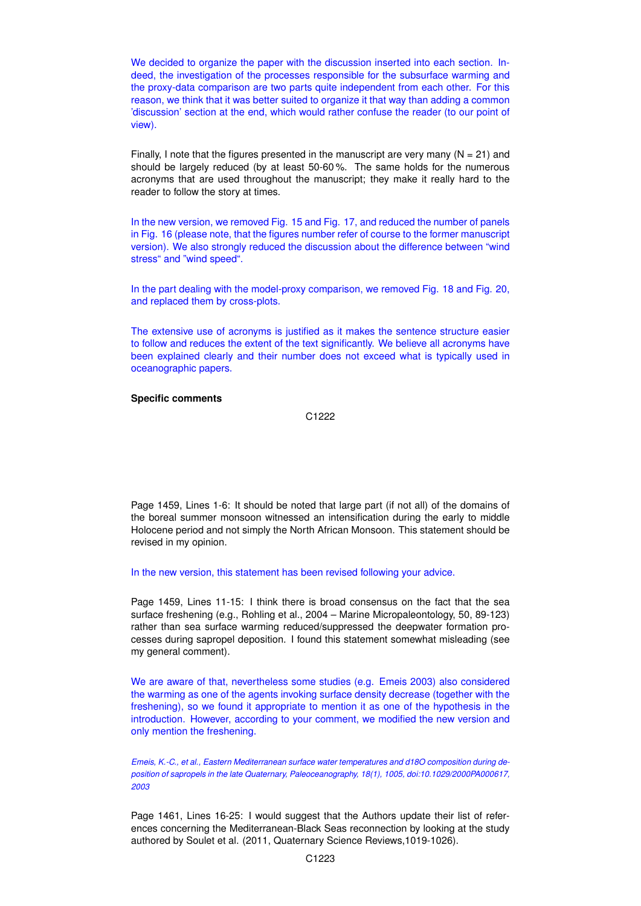We decided to organize the paper with the discussion inserted into each section. Indeed, the investigation of the processes responsible for the subsurface warming and the proxy-data comparison are two parts quite independent from each other. For this reason, we think that it was better suited to organize it that way than adding a common 'discussion' section at the end, which would rather confuse the reader (to our point of view).

Finally, I note that the figures presented in the manuscript are very many  $(N = 21)$  and should be largely reduced (by at least 50-60 %. The same holds for the numerous acronyms that are used throughout the manuscript; they make it really hard to the reader to follow the story at times.

In the new version, we removed Fig. 15 and Fig. 17, and reduced the number of panels in Fig. 16 (please note, that the figures number refer of course to the former manuscript version). We also strongly reduced the discussion about the difference between "wind stress" and "wind speed".

In the part dealing with the model-proxy comparison, we removed Fig. 18 and Fig. 20, and replaced them by cross-plots.

The extensive use of acronyms is justified as it makes the sentence structure easier to follow and reduces the extent of the text significantly. We believe all acronyms have been explained clearly and their number does not exceed what is typically used in oceanographic papers.

## **Specific comments**

C1222

Page 1459, Lines 1-6: It should be noted that large part (if not all) of the domains of the boreal summer monsoon witnessed an intensification during the early to middle Holocene period and not simply the North African Monsoon. This statement should be revised in my opinion.

In the new version, this statement has been revised following your advice.

Page 1459, Lines 11-15: I think there is broad consensus on the fact that the sea surface freshening (e.g., Rohling et al., 2004 – Marine Micropaleontology, 50, 89-123) rather than sea surface warming reduced/suppressed the deepwater formation processes during sapropel deposition. I found this statement somewhat misleading (see my general comment).

We are aware of that, nevertheless some studies (e.g. Emeis 2003) also considered the warming as one of the agents invoking surface density decrease (together with the freshening), so we found it appropriate to mention it as one of the hypothesis in the introduction. However, according to your comment, we modified the new version and only mention the freshening.

*Emeis, K.-C., et al., Eastern Mediterranean surface water temperatures and d18O composition during deposition of sapropels in the late Quaternary, Paleoceanography, 18(1), 1005, doi:10.1029/2000PA000617, 2003*

Page 1461, Lines 16-25: I would suggest that the Authors update their list of references concerning the Mediterranean-Black Seas reconnection by looking at the study authored by Soulet et al. (2011, Quaternary Science Reviews,1019-1026).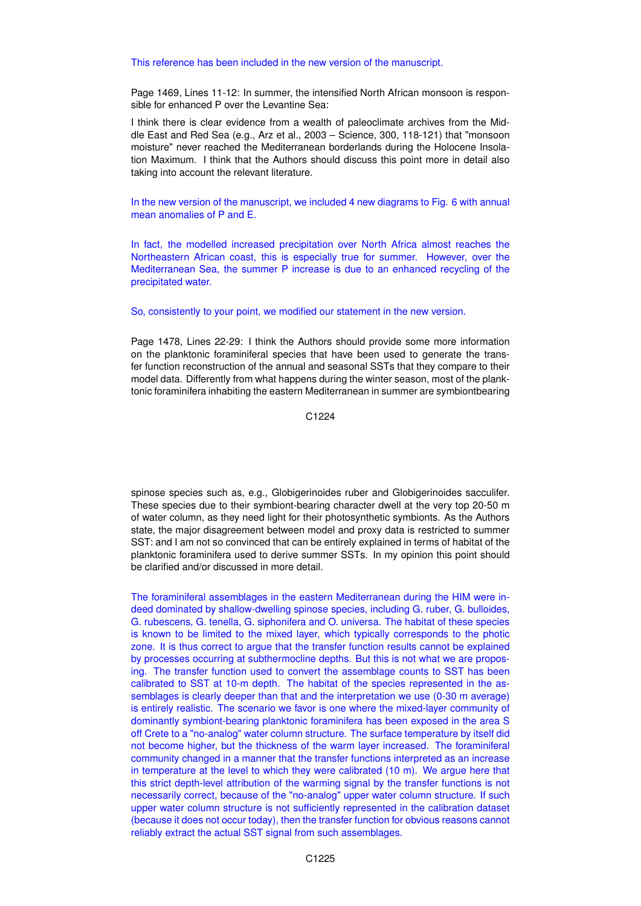## This reference has been included in the new version of the manuscript.

Page 1469, Lines 11-12: In summer, the intensified North African monsoon is responsible for enhanced P over the Levantine Sea:

I think there is clear evidence from a wealth of paleoclimate archives from the Middle East and Red Sea (e.g., Arz et al., 2003 – Science, 300, 118-121) that "monsoon moisture" never reached the Mediterranean borderlands during the Holocene Insolation Maximum. I think that the Authors should discuss this point more in detail also taking into account the relevant literature.

In the new version of the manuscript, we included 4 new diagrams to Fig. 6 with annual mean anomalies of P and E.

In fact, the modelled increased precipitation over North Africa almost reaches the Northeastern African coast, this is especially true for summer. However, over the Mediterranean Sea, the summer P increase is due to an enhanced recycling of the precipitated water.

So, consistently to your point, we modified our statement in the new version.

Page 1478, Lines 22-29: I think the Authors should provide some more information on the planktonic foraminiferal species that have been used to generate the transfer function reconstruction of the annual and seasonal SSTs that they compare to their model data. Differently from what happens during the winter season, most of the planktonic foraminifera inhabiting the eastern Mediterranean in summer are symbiontbearing

C1224

spinose species such as, e.g., Globigerinoides ruber and Globigerinoides sacculifer. These species due to their symbiont-bearing character dwell at the very top 20-50 m of water column, as they need light for their photosynthetic symbionts. As the Authors state, the major disagreement between model and proxy data is restricted to summer SST: and I am not so convinced that can be entirely explained in terms of habitat of the planktonic foraminifera used to derive summer SSTs. In my opinion this point should be clarified and/or discussed in more detail.

The foraminiferal assemblages in the eastern Mediterranean during the HIM were indeed dominated by shallow-dwelling spinose species, including G. ruber, G. bulloides, G. rubescens, G. tenella, G. siphonifera and O. universa. The habitat of these species is known to be limited to the mixed layer, which typically corresponds to the photic zone. It is thus correct to argue that the transfer function results cannot be explained by processes occurring at subthermocline depths. But this is not what we are proposing. The transfer function used to convert the assemblage counts to SST has been calibrated to SST at 10-m depth. The habitat of the species represented in the assemblages is clearly deeper than that and the interpretation we use (0-30 m average) is entirely realistic. The scenario we favor is one where the mixed-layer community of dominantly symbiont-bearing planktonic foraminifera has been exposed in the area S off Crete to a "no-analog" water column structure. The surface temperature by itself did not become higher, but the thickness of the warm layer increased. The foraminiferal community changed in a manner that the transfer functions interpreted as an increase in temperature at the level to which they were calibrated (10 m). We argue here that this strict depth-level attribution of the warming signal by the transfer functions is not necessarily correct, because of the "no-analog" upper water column structure. If such upper water column structure is not sufficiently represented in the calibration dataset (because it does not occur today), then the transfer function for obvious reasons cannot reliably extract the actual SST signal from such assemblages.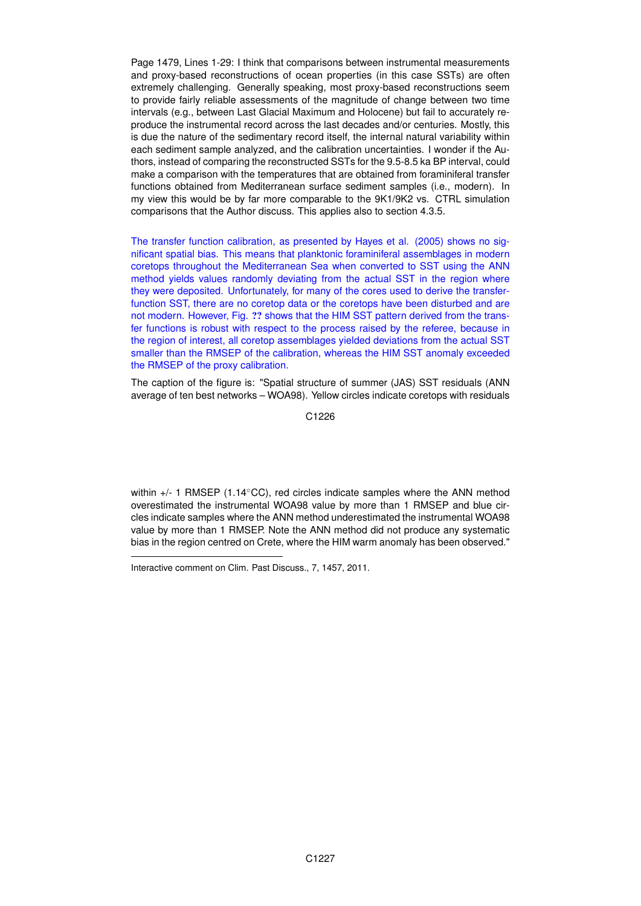Page 1479, Lines 1-29: I think that comparisons between instrumental measurements and proxy-based reconstructions of ocean properties (in this case SSTs) are often extremely challenging. Generally speaking, most proxy-based reconstructions seem to provide fairly reliable assessments of the magnitude of change between two time intervals (e.g., between Last Glacial Maximum and Holocene) but fail to accurately reproduce the instrumental record across the last decades and/or centuries. Mostly, this is due the nature of the sedimentary record itself, the internal natural variability within each sediment sample analyzed, and the calibration uncertainties. I wonder if the Authors, instead of comparing the reconstructed SSTs for the 9.5-8.5 ka BP interval, could make a comparison with the temperatures that are obtained from foraminiferal transfer functions obtained from Mediterranean surface sediment samples (i.e., modern). In my view this would be by far more comparable to the 9K1/9K2 vs. CTRL simulation comparisons that the Author discuss. This applies also to section 4.3.5.

The transfer function calibration, as presented by Hayes et al. (2005) shows no significant spatial bias. This means that planktonic foraminiferal assemblages in modern coretops throughout the Mediterranean Sea when converted to SST using the ANN method yields values randomly deviating from the actual SST in the region where they were deposited. Unfortunately, for many of the cores used to derive the transferfunction SST, there are no coretop data or the coretops have been disturbed and are not modern. However, Fig. ?? shows that the HIM SST pattern derived from the transfer functions is robust with respect to the process raised by the referee, because in the region of interest, all coretop assemblages yielded deviations from the actual SST smaller than the RMSEP of the calibration, whereas the HIM SST anomaly exceeded the RMSEP of the proxy calibration.

The caption of the figure is: "Spatial structure of summer (JAS) SST residuals (ANN average of ten best networks – WOA98). Yellow circles indicate coretops with residuals

C1226

within +/- 1 RMSEP (1.14 °CC), red circles indicate samples where the ANN method overestimated the instrumental WOA98 value by more than 1 RMSEP and blue circles indicate samples where the ANN method underestimated the instrumental WOA98 value by more than 1 RMSEP. Note the ANN method did not produce any systematic bias in the region centred on Crete, where the HIM warm anomaly has been observed."

Interactive comment on Clim. Past Discuss., 7, 1457, 2011.